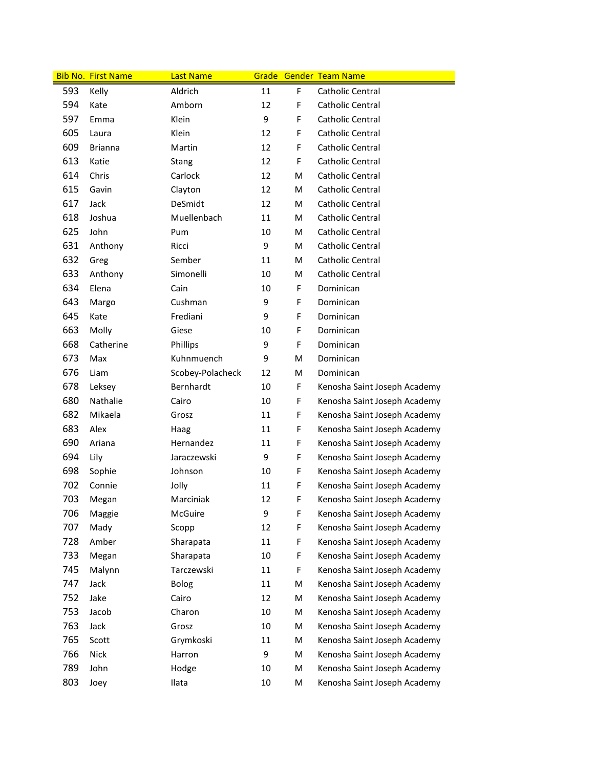|     | <b>Bib No. First Name</b> | <b>Last Name</b> |    |   | <b>Grade Gender Team Name</b> |
|-----|---------------------------|------------------|----|---|-------------------------------|
| 593 | Kelly                     | Aldrich          | 11 | F | Catholic Central              |
| 594 | Kate                      | Amborn           | 12 | F | Catholic Central              |
| 597 | Emma                      | Klein            | 9  | F | Catholic Central              |
| 605 | Laura                     | Klein            | 12 | F | Catholic Central              |
| 609 | <b>Brianna</b>            | Martin           | 12 | F | Catholic Central              |
| 613 | Katie                     | Stang            | 12 | F | Catholic Central              |
| 614 | Chris                     | Carlock          | 12 | M | Catholic Central              |
| 615 | Gavin                     | Clayton          | 12 | M | Catholic Central              |
| 617 | Jack                      | DeSmidt          | 12 | M | Catholic Central              |
| 618 | Joshua                    | Muellenbach      | 11 | M | Catholic Central              |
| 625 | John                      | Pum              | 10 | M | Catholic Central              |
| 631 | Anthony                   | Ricci            | 9  | M | Catholic Central              |
| 632 | Greg                      | Sember           | 11 | M | Catholic Central              |
| 633 | Anthony                   | Simonelli        | 10 | M | Catholic Central              |
| 634 | Elena                     | Cain             | 10 | F | Dominican                     |
| 643 | Margo                     | Cushman          | 9  | F | Dominican                     |
| 645 | Kate                      | Frediani         | 9  | F | Dominican                     |
| 663 | Molly                     | Giese            | 10 | F | Dominican                     |
| 668 | Catherine                 | Phillips         | 9  | F | Dominican                     |
| 673 | Max                       | Kuhnmuench       | 9  | M | Dominican                     |
| 676 | Liam                      | Scobey-Polacheck | 12 | M | Dominican                     |
| 678 | Leksey                    | Bernhardt        | 10 | F | Kenosha Saint Joseph Academy  |
| 680 | Nathalie                  | Cairo            | 10 | F | Kenosha Saint Joseph Academy  |
| 682 | Mikaela                   | Grosz            | 11 | F | Kenosha Saint Joseph Academy  |
| 683 | Alex                      | Haag             | 11 | F | Kenosha Saint Joseph Academy  |
| 690 | Ariana                    | Hernandez        | 11 | F | Kenosha Saint Joseph Academy  |
| 694 | Lily                      | Jaraczewski      | 9  | F | Kenosha Saint Joseph Academy  |
| 698 | Sophie                    | Johnson          | 10 | F | Kenosha Saint Joseph Academy  |
| 702 | Connie                    | Jolly            | 11 | F | Kenosha Saint Joseph Academy  |
| 703 | Megan                     | Marciniak        | 12 | F | Kenosha Saint Joseph Academy  |
| 706 | Maggie                    | McGuire          | 9  | F | Kenosha Saint Joseph Academy  |
| 707 | Mady                      | Scopp            | 12 | F | Kenosha Saint Joseph Academy  |
| 728 | Amber                     | Sharapata        | 11 | F | Kenosha Saint Joseph Academy  |
| 733 | Megan                     | Sharapata        | 10 | F | Kenosha Saint Joseph Academy  |
| 745 | Malynn                    | Tarczewski       | 11 | F | Kenosha Saint Joseph Academy  |
| 747 | Jack                      | <b>Bolog</b>     | 11 | M | Kenosha Saint Joseph Academy  |
| 752 | Jake                      | Cairo            | 12 | M | Kenosha Saint Joseph Academy  |
| 753 | Jacob                     | Charon           | 10 | M | Kenosha Saint Joseph Academy  |
| 763 | Jack                      | Grosz            | 10 | M | Kenosha Saint Joseph Academy  |
| 765 | Scott                     | Grymkoski        | 11 | M | Kenosha Saint Joseph Academy  |
| 766 | Nick                      | Harron           | 9  | M | Kenosha Saint Joseph Academy  |
| 789 | John                      | Hodge            | 10 | M | Kenosha Saint Joseph Academy  |
| 803 | Joey                      | Ilata            | 10 | M | Kenosha Saint Joseph Academy  |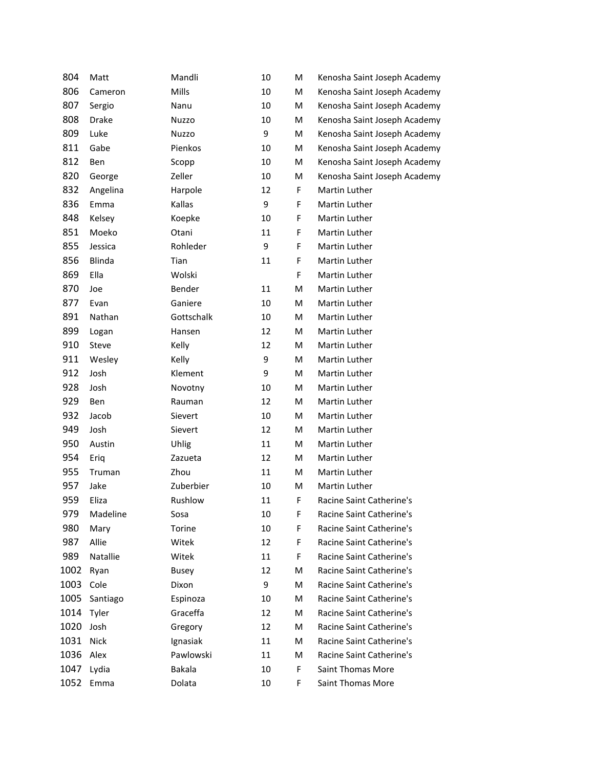| 804  | Matt     | Mandli       | 10 | M  | Kenosha Saint Joseph Academy |
|------|----------|--------------|----|----|------------------------------|
| 806  | Cameron  | Mills        | 10 | M  | Kenosha Saint Joseph Academy |
| 807  | Sergio   | Nanu         | 10 | M  | Kenosha Saint Joseph Academy |
| 808  | Drake    | <b>Nuzzo</b> | 10 | M  | Kenosha Saint Joseph Academy |
| 809  | Luke     | Nuzzo        | 9  | M  | Kenosha Saint Joseph Academy |
| 811  | Gabe     | Pienkos      | 10 | M  | Kenosha Saint Joseph Academy |
| 812  | Ben      | Scopp        | 10 | M  | Kenosha Saint Joseph Academy |
| 820  | George   | Zeller       | 10 | M  | Kenosha Saint Joseph Academy |
| 832  | Angelina | Harpole      | 12 | F. | Martin Luther                |
| 836  | Emma     | Kallas       | 9  | F  | Martin Luther                |
| 848  | Kelsey   | Koepke       | 10 | F  | Martin Luther                |
| 851  | Moeko    | Otani        | 11 | F  | Martin Luther                |
| 855  | Jessica  | Rohleder     | 9  | F  | Martin Luther                |
| 856  | Blinda   | Tian         | 11 | F  | Martin Luther                |
| 869  | Ella     | Wolski       |    | F  | Martin Luther                |
| 870  | Joe      | Bender       | 11 | M  | Martin Luther                |
| 877  | Evan     | Ganiere      | 10 | M  | Martin Luther                |
| 891  | Nathan   | Gottschalk   | 10 | M  | Martin Luther                |
| 899  | Logan    | Hansen       | 12 | M  | Martin Luther                |
| 910  | Steve    | Kelly        | 12 | M  | Martin Luther                |
| 911  | Wesley   | Kelly        | 9  | M  | Martin Luther                |
| 912  | Josh     | Klement      | 9  | M  | Martin Luther                |
| 928  | Josh     | Novotny      | 10 | M  | Martin Luther                |
| 929  | Ben      | Rauman       | 12 | M  | Martin Luther                |
| 932  | Jacob    | Sievert      | 10 | M  | Martin Luther                |
| 949  | Josh     | Sievert      | 12 | M  | Martin Luther                |
| 950  | Austin   | Uhlig        | 11 | M  | Martin Luther                |
| 954  | Eriq     | Zazueta      | 12 | M  | Martin Luther                |
| 955  | Truman   | Zhou         | 11 | M  | Martin Luther                |
| 957  | Jake     | Zuberbier    | 10 | M  | Martin Luther                |
| 959  | Eliza    | Rushlow      | 11 | F  | Racine Saint Catherine's     |
| 979  | Madeline | Sosa         | 10 | F. | Racine Saint Catherine's     |
| 980  | Mary     | Torine       | 10 | F  | Racine Saint Catherine's     |
| 987  | Allie    | Witek        | 12 | F. | Racine Saint Catherine's     |
| 989  | Natallie | Witek        | 11 | F  | Racine Saint Catherine's     |
| 1002 | Ryan     | <b>Busey</b> | 12 | м  | Racine Saint Catherine's     |
| 1003 | Cole     | Dixon        | 9  | м  | Racine Saint Catherine's     |
| 1005 | Santiago | Espinoza     | 10 | M  | Racine Saint Catherine's     |
| 1014 | Tyler    | Graceffa     | 12 | М  | Racine Saint Catherine's     |
| 1020 | Josh     | Gregory      | 12 | M  | Racine Saint Catherine's     |
| 1031 | Nick     | Ignasiak     | 11 | м  | Racine Saint Catherine's     |
| 1036 | Alex     | Pawlowski    | 11 | М  | Racine Saint Catherine's     |
| 1047 | Lydia    | Bakala       | 10 | F  | <b>Saint Thomas More</b>     |
| 1052 | Emma     | Dolata       | 10 | F  | Saint Thomas More            |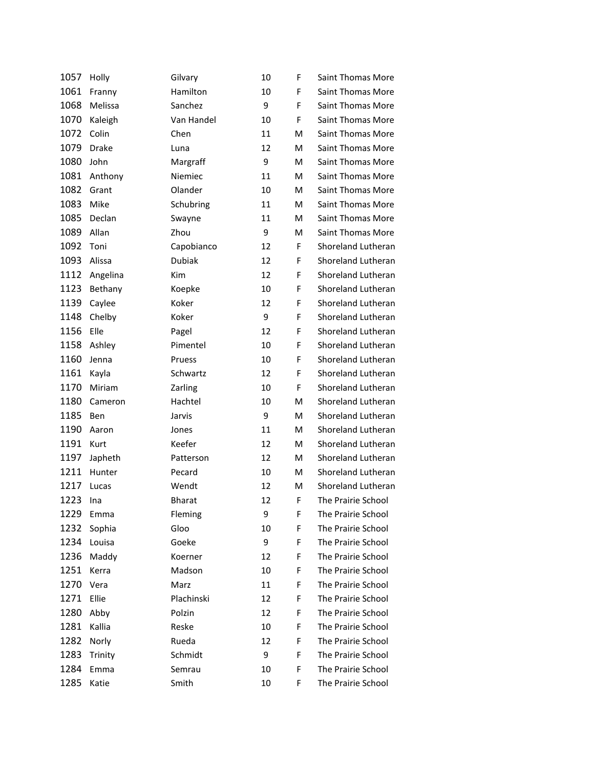| 1057 | Holly        | Gilvary       | 10 | F | Saint Thomas More        |
|------|--------------|---------------|----|---|--------------------------|
| 1061 | Franny       | Hamilton      | 10 | F | Saint Thomas More        |
| 1068 | Melissa      | Sanchez       | 9  | F | <b>Saint Thomas More</b> |
| 1070 | Kaleigh      | Van Handel    | 10 | F | Saint Thomas More        |
| 1072 | Colin        | Chen          | 11 | м | Saint Thomas More        |
| 1079 | <b>Drake</b> | Luna          | 12 | м | <b>Saint Thomas More</b> |
| 1080 | John         | Margraff      | 9  | м | Saint Thomas More        |
| 1081 | Anthony      | Niemiec       | 11 | М | <b>Saint Thomas More</b> |
| 1082 | Grant        | Olander       | 10 | M | Saint Thomas More        |
| 1083 | Mike         | Schubring     | 11 | м | Saint Thomas More        |
| 1085 | Declan       | Swayne        | 11 | м | <b>Saint Thomas More</b> |
| 1089 | Allan        | Zhou          | 9  | M | Saint Thomas More        |
| 1092 | Toni         | Capobianco    | 12 | F | Shoreland Lutheran       |
| 1093 | Alissa       | Dubiak        | 12 | F | Shoreland Lutheran       |
| 1112 | Angelina     | Kim           | 12 | F | Shoreland Lutheran       |
| 1123 | Bethany      | Koepke        | 10 | F | Shoreland Lutheran       |
| 1139 | Caylee       | Koker         | 12 | F | Shoreland Lutheran       |
| 1148 | Chelby       | Koker         | 9  | F | Shoreland Lutheran       |
| 1156 | Elle         | Pagel         | 12 | F | Shoreland Lutheran       |
| 1158 | Ashley       | Pimentel      | 10 | F | Shoreland Lutheran       |
| 1160 | Jenna        | Pruess        | 10 | F | Shoreland Lutheran       |
| 1161 | Kayla        | Schwartz      | 12 | F | Shoreland Lutheran       |
| 1170 | Miriam       | Zarling       | 10 | F | Shoreland Lutheran       |
| 1180 | Cameron      | Hachtel       | 10 | м | Shoreland Lutheran       |
| 1185 | Ben          | Jarvis        | 9  | м | Shoreland Lutheran       |
| 1190 | Aaron        | Jones         | 11 | м | Shoreland Lutheran       |
| 1191 | Kurt         | Keefer        | 12 | M | Shoreland Lutheran       |
| 1197 | Japheth      | Patterson     | 12 | м | Shoreland Lutheran       |
| 1211 | Hunter       | Pecard        | 10 | м | Shoreland Lutheran       |
| 1217 | Lucas        | Wendt         | 12 | м | Shoreland Lutheran       |
| 1223 | Ina          | <b>Bharat</b> | 12 | F | The Prairie School       |
| 1229 | Emma         | Fleming       | 9  | F | The Prairie School       |
| 1232 | Sophia       | Gloo          | 10 | F | The Prairie School       |
| 1234 | Louisa       | Goeke         | 9  | F | The Prairie School       |
| 1236 | Maddy        | Koerner       | 12 | F | The Prairie School       |
| 1251 | Kerra        | Madson        | 10 | F | The Prairie School       |
| 1270 | Vera         | Marz          | 11 | F | The Prairie School       |
| 1271 | Ellie        | Plachinski    | 12 | F | The Prairie School       |
| 1280 | Abby         | Polzin        | 12 | F | The Prairie School       |
| 1281 | Kallia       | Reske         | 10 | F | The Prairie School       |
| 1282 | Norly        | Rueda         | 12 | F | The Prairie School       |
| 1283 | Trinity      | Schmidt       | 9  | F | The Prairie School       |
| 1284 | Emma         | Semrau        | 10 | F | The Prairie School       |
| 1285 | Katie        | Smith         | 10 | F | The Prairie School       |